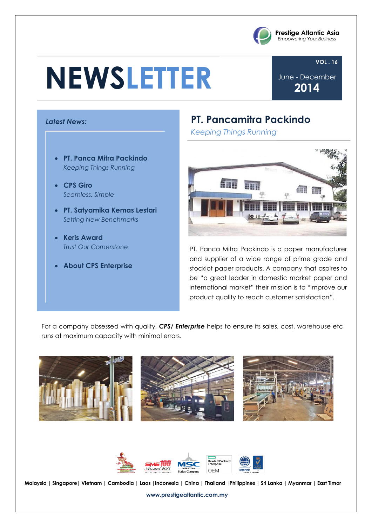# **NEWSLETTER**



#### **VOL . 16**

June - December **2014**

#### *Latest News:*

- **PT. Panca Mitra Packindo** *Keeping Things Running*
- **CPS Giro** *Seamless. Simple*
- **PT. Satyamika Kemas Lestari** *Setting New Benchmarks*
- **Keris Award** *Trust Our Cornerstone*
- **About CPS Enterprise**

### **PT. Pancamitra Packindo**

*Keeping Things Running*



PT. Panca Mitra Packindo is a paper manufacturer and supplier of a wide range of prime grade and stocklot paper products. A company that aspires to be "a great leader in domestic market paper and international market" their mission is to "improve our product quality to reach customer satisfaction".

For a company obsessed with quality, *CPS/ Enterprise* helps to ensure its sales, cost, warehouse etc runs at maximum capacity with minimal errors.





**Malaysia | Singapore| Vietnam | Cambodia | Laos |Indonesia | China | Thailand |Philippines | Sri Lanka | Myanmar | East Timor**

**www.prestigeatlantic.com.my**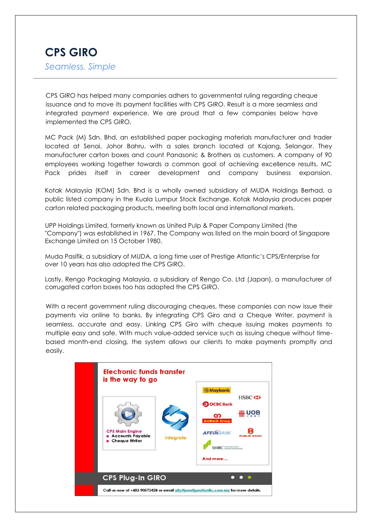## **CPS GIRO** *Seamless. Simple*

CPS GIRO has helped many companies adhers to governmental ruling regarding cheque issuance and to move its payment facilities with CPS GIRO. Result is a more seamless and integrated payment experience. We are proud that a few companies below have implemented the CPS GIRO.

MC Pack (M) Sdn. Bhd, an established paper packaging materials manufacturer and trader located at Senai, Johor Bahru, with a sales branch located at Kajang, Selangor. They manufacturer carton boxes and count Panasonic & Brothers as customers. A company of 90 employees working together towards a common goal of achieving excellence results, MC Pack prides itself in career development and company business expansion.

Kotak Malaysia (KOM) Sdn. Bhd is a wholly owned subsidiary of MUDA Holdings Berhad, a public listed company in the Kuala Lumpur Stock Exchange. Kotak Malaysia produces paper carton related packaging products, meeting both local and international markets.

UPP Holdings Limited, formerly known as United Pulp & Paper Company Limited (the "Company") was established in 1967. The Company was listed on the main board of Singapore Exchange Limited on 15 October 1980.

Muda Pasifik, a subsidiary of MUDA, a long time user of Prestige Atlantic's CPS/Enterprise for over 10 years has also adopted the CPS GIRO.

Lastly, Rengo Packaging Malaysia, a subsidiary of Rengo Co. Ltd (Japan), a manufacturer of corrugated carton boxes too has adopted the CPS GIRO.

With a recent government ruling discouraging cheques, these companies can now issue their payments via online to banks. By integrating CPS Giro and a Cheque Writer, payment is seamless, accurate and easy. Linking CPS Giro with cheque issuing makes payments to multiple easy and safe. With much value-added service such as issuing cheque without timebased month-end closing, the system allows our clients to make payments promptly and easily.

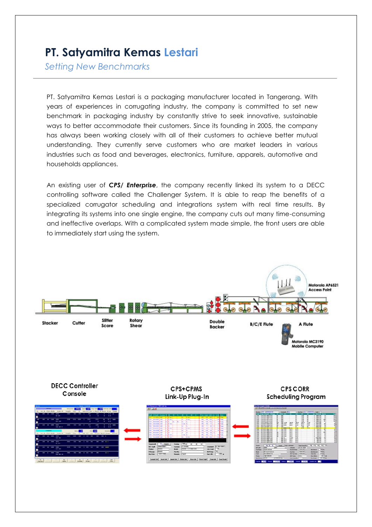# **PT. Satyamitra Kemas Lestari**

*Setting New Benchmarks*

. industries such as food and beverages, electronics, furniture, apparels, automotive and PT. Satyamitra Kemas Lestari is a packaging manufacturer located in Tangerang. With years of experiences in corrugating industry, the company is committed to set new benchmark in packaging industry by constantly strive to seek innovative, sustainable ways to better accommodate their customers. Since its founding in 2005, the company has always been working closely with all of their customers to achieve better mutual understanding. They currently serve customers who are market leaders in various households appliances.

An existing user of *CPS/ Enterprise*, the company recently linked its system to a DECC controlling software called the Challenger System. It is able to reap the benefits of a specialized corrugator scheduling and integrations system with real time results. By integrating its systems into one single engine, the company cuts out many time-consuming and ineffective overlaps. With a complicated system made simple, the front users are able to immediately start using the system.

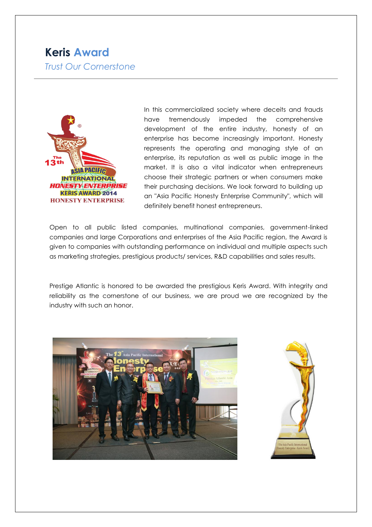## **Keris Award** *Trust Our Cornerstone*



In this commercialized society where deceits and frauds have tremendously impeded the comprehensive development of the entire industry, honesty of an enterprise has become increasingly important. Honesty represents the operating and managing style of an enterprise, its reputation as well as public image in the market. It is also a vital indicator when entrepreneurs choose their strategic partners or when consumers make their purchasing decisions. We look forward to building up an "Asia Pacific Honesty Enterprise Community", which will definitely benefit honest entrepreneurs.

Open to all public listed companies, multinational companies, government-linked companies and large Corporations and enterprises of the Asia Pacific region, the Award is given to companies with outstanding performance on individual and multiple aspects such as marketing strategies, prestigious products/ services, R&D capabilities and sales results.

Prestige Atlantic is honored to be awarded the prestigious Keris Award. With integrity and reliability as the cornerstone of our business, we are proud we are recognized by the industry with such an honor.



![](_page_3_Picture_6.jpeg)